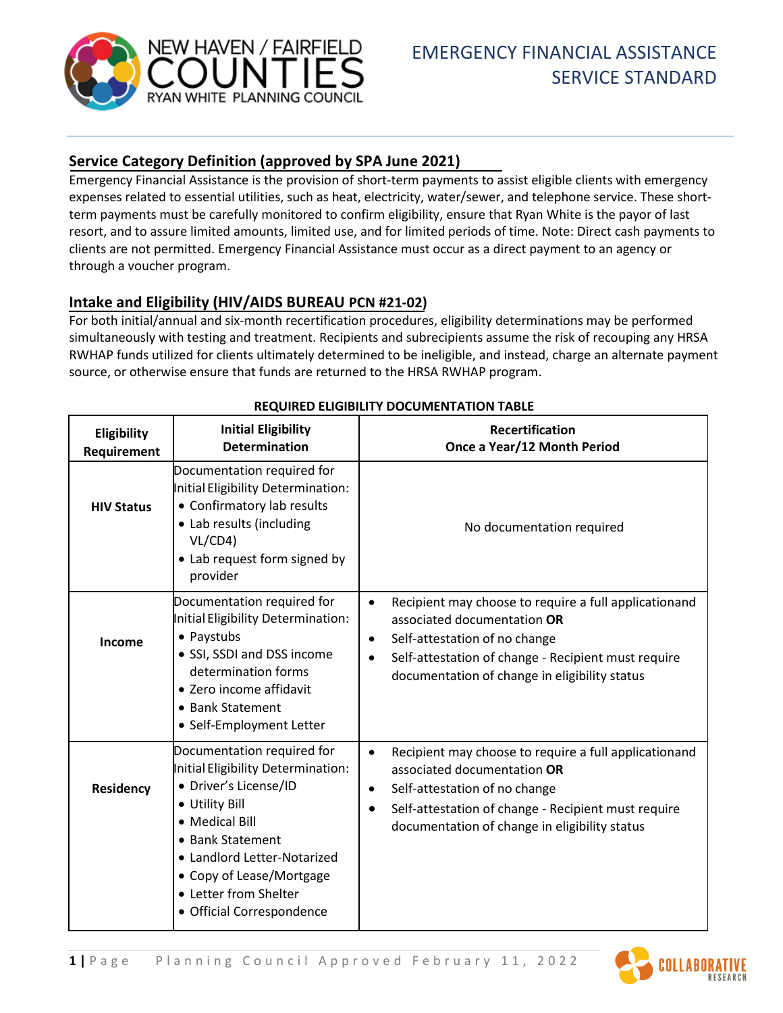

# **Service Category Definition (approved by SPA June 2021)**

Emergency Financial Assistance is the provision of short-term payments to assist eligible clients with emergency expenses related to essential utilities, such as heat, electricity, water/sewer, and telephone service. These shortterm payments must be carefully monitored to confirm eligibility, ensure that Ryan White is the payor of last resort, and to assure limited amounts, limited use, and for limited periods of time. Note: Direct cash payments to clients are not permitted. Emergency Financial Assistance must occur as a direct payment to an agency or through a voucher program.

# **Intake and Eligibility (HIV/AIDS BUREAU PCN #21-02)**

For both initial/annual and six-month recertification procedures, eligibility determinations may be performed simultaneously with testing and treatment. Recipients and subrecipients assume the risk of recouping any HRSA RWHAP funds utilized for clients ultimately determined to be ineligible, and instead, charge an alternate payment source, or otherwise ensure that funds are returned to the HRSA RWHAP program.

| Eligibility<br>Requirement | <b>Initial Eligibility</b><br><b>Determination</b>                                                                                                                                                                                                                 | <b>Recertification</b><br>Once a Year/12 Month Period                                                                                                                                                                                                                |
|----------------------------|--------------------------------------------------------------------------------------------------------------------------------------------------------------------------------------------------------------------------------------------------------------------|----------------------------------------------------------------------------------------------------------------------------------------------------------------------------------------------------------------------------------------------------------------------|
| <b>HIV Status</b>          | Documentation required for<br>Initial Eligibility Determination:<br>• Confirmatory lab results<br>• Lab results (including<br>VL/CD4)<br>• Lab request form signed by<br>provider                                                                                  | No documentation required                                                                                                                                                                                                                                            |
| Income                     | Documentation required for<br>Initial Eligibility Determination:<br>• Paystubs<br>• SSI, SSDI and DSS income<br>determination forms<br>• Zero income affidavit<br>• Bank Statement<br>• Self-Employment Letter                                                     | Recipient may choose to require a full applicationand<br>$\bullet$<br>associated documentation OR<br>Self-attestation of no change<br>$\bullet$<br>Self-attestation of change - Recipient must require<br>$\bullet$<br>documentation of change in eligibility status |
| Residency                  | Documentation required for<br>Initial Eligibility Determination:<br>• Driver's License/ID<br>• Utility Bill<br>• Medical Bill<br>• Bank Statement<br>• Landlord Letter-Notarized<br>• Copy of Lease/Mortgage<br>• Letter from Shelter<br>• Official Correspondence | Recipient may choose to require a full applicationand<br>$\bullet$<br>associated documentation OR<br>Self-attestation of no change<br>$\bullet$<br>Self-attestation of change - Recipient must require<br>$\bullet$<br>documentation of change in eligibility status |

#### **REQUIRED ELIGIBILITY DOCUMENTATION TABLE**

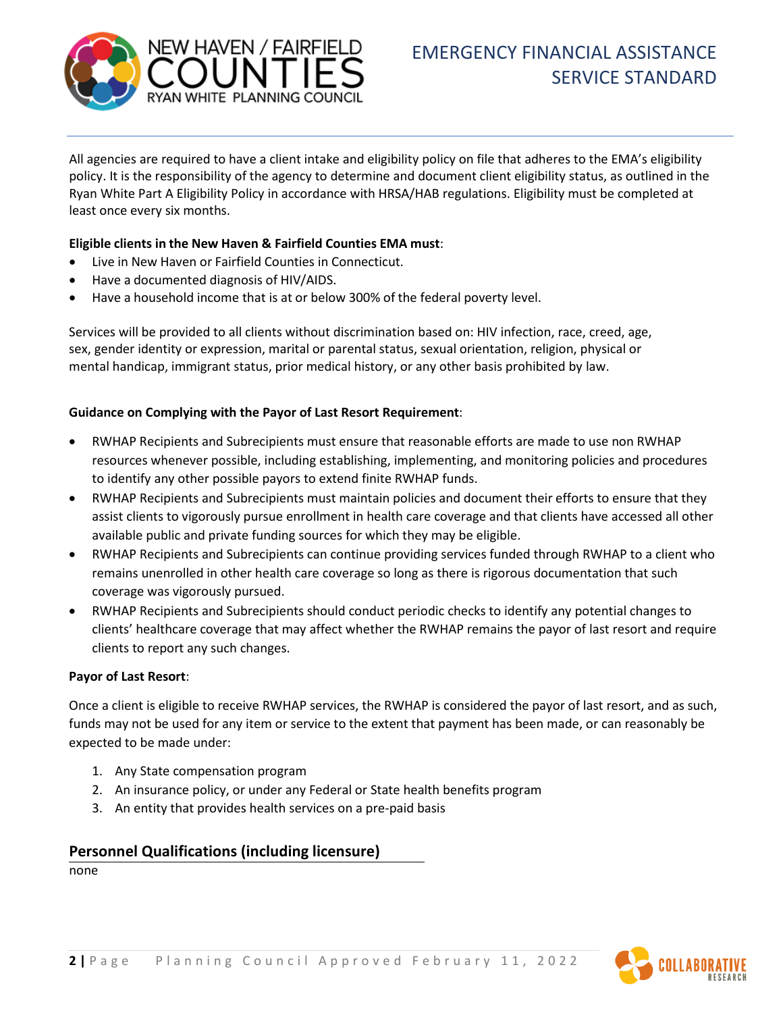

All agencies are required to have a client intake and eligibility policy on file that adheres to the EMA's eligibility policy. It is the responsibility of the agency to determine and document client eligibility status, as outlined in the Ryan White Part A Eligibility Policy in accordance with HRSA/HAB regulations. Eligibility must be completed at least once every six months.

#### **Eligible clients in the New Haven & Fairfield Counties EMA must**:

- Live in New Haven or Fairfield Counties in Connecticut.
- Have a documented diagnosis of HIV/AIDS.
- Have a household income that is at or below 300% of the federal poverty level.

Services will be provided to all clients without discrimination based on: HIV infection, race, creed, age, sex, gender identity or expression, marital or parental status, sexual orientation, religion, physical or mental handicap, immigrant status, prior medical history, or any other basis prohibited by law.

#### **Guidance on Complying with the Payor of Last Resort Requirement**:

- RWHAP Recipients and Subrecipients must ensure that reasonable efforts are made to use non RWHAP resources whenever possible, including establishing, implementing, and monitoring policies and procedures to identify any other possible payors to extend finite RWHAP funds.
- RWHAP Recipients and Subrecipients must maintain policies and document their efforts to ensure that they assist clients to vigorously pursue enrollment in health care coverage and that clients have accessed all other available public and private funding sources for which they may be eligible.
- RWHAP Recipients and Subrecipients can continue providing services funded through RWHAP to a client who remains unenrolled in other health care coverage so long as there is rigorous documentation that such coverage was vigorously pursued.
- RWHAP Recipients and Subrecipients should conduct periodic checks to identify any potential changes to clients' healthcare coverage that may affect whether the RWHAP remains the payor of last resort and require clients to report any such changes.

#### **Payor of Last Resort**:

Once a client is eligible to receive RWHAP services, the RWHAP is considered the payor of last resort, and as such, funds may not be used for any item or service to the extent that payment has been made, or can reasonably be expected to be made under:

- 1. Any State compensation program
- 2. An insurance policy, or under any Federal or State health benefits program
- 3. An entity that provides health services on a pre-paid basis

#### **Personnel Qualifications (including licensure)**

none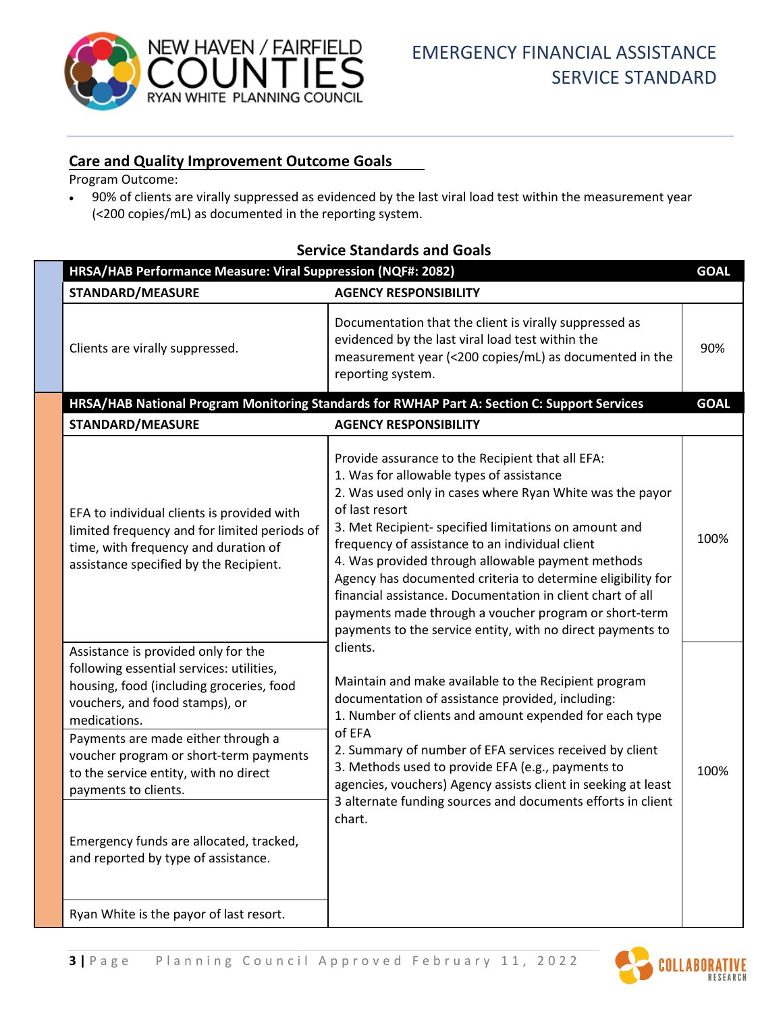

## **Care and Quality Improvement Outcome Goals**

Program Outcome:

• 90% of clients are virally suppressed as evidenced by the last viral load test within the measurement year (<200 copies/mL) as documented in the reporting system.

| HRSA/HAB Performance Measure: Viral Suppression (NQF#: 2082)                                                                                                                                                                                                                                                                                                                                                     |                                                                                                                                                                                                                                                                                                                                                                                                                                                                                                                                                                                                                                                                                                                                                                                                                                                                                                                                                                                                                                                       |      |  |  |  |
|------------------------------------------------------------------------------------------------------------------------------------------------------------------------------------------------------------------------------------------------------------------------------------------------------------------------------------------------------------------------------------------------------------------|-------------------------------------------------------------------------------------------------------------------------------------------------------------------------------------------------------------------------------------------------------------------------------------------------------------------------------------------------------------------------------------------------------------------------------------------------------------------------------------------------------------------------------------------------------------------------------------------------------------------------------------------------------------------------------------------------------------------------------------------------------------------------------------------------------------------------------------------------------------------------------------------------------------------------------------------------------------------------------------------------------------------------------------------------------|------|--|--|--|
| <b>STANDARD/MEASURE</b>                                                                                                                                                                                                                                                                                                                                                                                          | <b>AGENCY RESPONSIBILITY</b>                                                                                                                                                                                                                                                                                                                                                                                                                                                                                                                                                                                                                                                                                                                                                                                                                                                                                                                                                                                                                          |      |  |  |  |
| Clients are virally suppressed.                                                                                                                                                                                                                                                                                                                                                                                  | Documentation that the client is virally suppressed as<br>evidenced by the last viral load test within the<br>measurement year (<200 copies/mL) as documented in the<br>reporting system.                                                                                                                                                                                                                                                                                                                                                                                                                                                                                                                                                                                                                                                                                                                                                                                                                                                             | 90%  |  |  |  |
| HRSA/HAB National Program Monitoring Standards for RWHAP Part A: Section C: Support Services<br><b>GOAL</b>                                                                                                                                                                                                                                                                                                      |                                                                                                                                                                                                                                                                                                                                                                                                                                                                                                                                                                                                                                                                                                                                                                                                                                                                                                                                                                                                                                                       |      |  |  |  |
| <b>STANDARD/MEASURE</b>                                                                                                                                                                                                                                                                                                                                                                                          | <b>AGENCY RESPONSIBILITY</b>                                                                                                                                                                                                                                                                                                                                                                                                                                                                                                                                                                                                                                                                                                                                                                                                                                                                                                                                                                                                                          |      |  |  |  |
| EFA to individual clients is provided with<br>limited frequency and for limited periods of<br>time, with frequency and duration of<br>assistance specified by the Recipient.                                                                                                                                                                                                                                     | Provide assurance to the Recipient that all EFA:<br>1. Was for allowable types of assistance<br>2. Was used only in cases where Ryan White was the payor<br>of last resort<br>3. Met Recipient- specified limitations on amount and<br>frequency of assistance to an individual client<br>4. Was provided through allowable payment methods<br>Agency has documented criteria to determine eligibility for<br>financial assistance. Documentation in client chart of all<br>payments made through a voucher program or short-term<br>payments to the service entity, with no direct payments to<br>clients.<br>Maintain and make available to the Recipient program<br>documentation of assistance provided, including:<br>1. Number of clients and amount expended for each type<br>of EFA<br>2. Summary of number of EFA services received by client<br>3. Methods used to provide EFA (e.g., payments to<br>agencies, vouchers) Agency assists client in seeking at least<br>3 alternate funding sources and documents efforts in client<br>chart. | 100% |  |  |  |
| Assistance is provided only for the<br>following essential services: utilities,<br>housing, food (including groceries, food<br>vouchers, and food stamps), or<br>medications.<br>Payments are made either through a<br>voucher program or short-term payments<br>to the service entity, with no direct<br>payments to clients.<br>Emergency funds are allocated, tracked,<br>and reported by type of assistance. |                                                                                                                                                                                                                                                                                                                                                                                                                                                                                                                                                                                                                                                                                                                                                                                                                                                                                                                                                                                                                                                       | 100% |  |  |  |
| Ryan White is the payor of last resort.                                                                                                                                                                                                                                                                                                                                                                          |                                                                                                                                                                                                                                                                                                                                                                                                                                                                                                                                                                                                                                                                                                                                                                                                                                                                                                                                                                                                                                                       |      |  |  |  |

# **Service Standards and Goals**

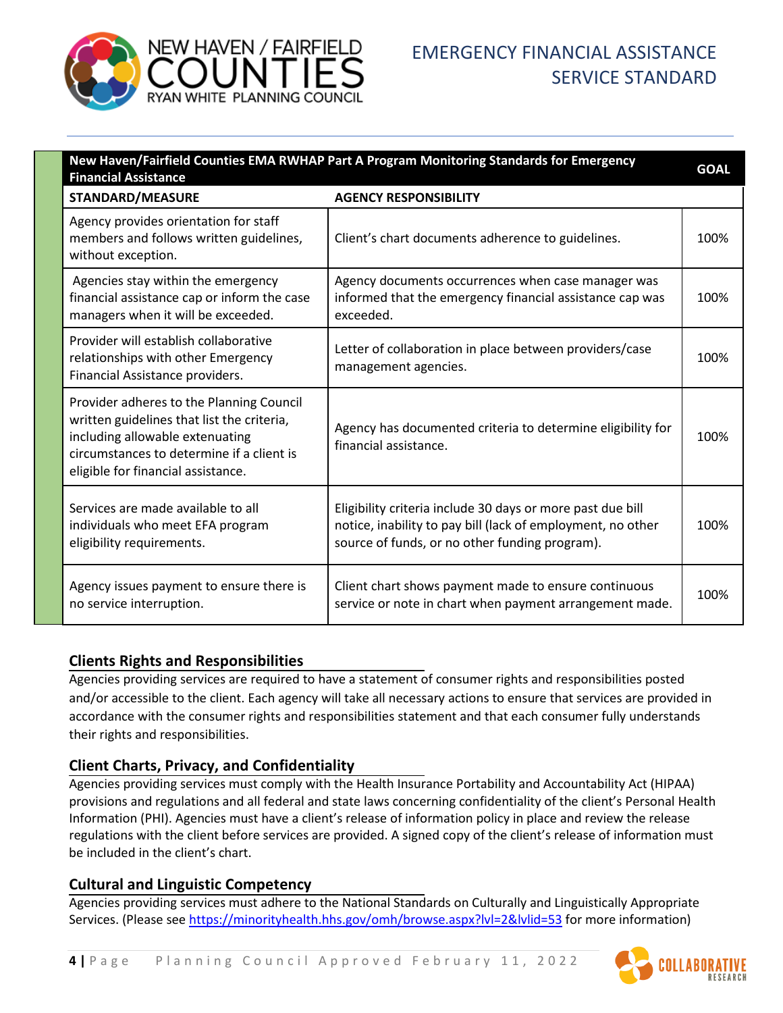

# EMERGENCY FINANCIAL ASSISTANCE SERVICE STANDARD

| New Haven/Fairfield Counties EMA RWHAP Part A Program Monitoring Standards for Emergency<br><b>Financial Assistance</b>                                                                                      |                                                                                                                                                                             |      |  |
|--------------------------------------------------------------------------------------------------------------------------------------------------------------------------------------------------------------|-----------------------------------------------------------------------------------------------------------------------------------------------------------------------------|------|--|
| <b>STANDARD/MEASURE</b>                                                                                                                                                                                      | <b>AGENCY RESPONSIBILITY</b>                                                                                                                                                |      |  |
| Agency provides orientation for staff<br>members and follows written guidelines,<br>without exception.                                                                                                       | Client's chart documents adherence to guidelines.                                                                                                                           | 100% |  |
| Agencies stay within the emergency<br>financial assistance cap or inform the case<br>managers when it will be exceeded.                                                                                      | Agency documents occurrences when case manager was<br>informed that the emergency financial assistance cap was<br>exceeded.                                                 | 100% |  |
| Provider will establish collaborative<br>relationships with other Emergency<br>Financial Assistance providers.                                                                                               | Letter of collaboration in place between providers/case<br>management agencies.                                                                                             | 100% |  |
| Provider adheres to the Planning Council<br>written guidelines that list the criteria,<br>including allowable extenuating<br>circumstances to determine if a client is<br>eligible for financial assistance. | Agency has documented criteria to determine eligibility for<br>financial assistance.                                                                                        | 100% |  |
| Services are made available to all<br>individuals who meet EFA program<br>eligibility requirements.                                                                                                          | Eligibility criteria include 30 days or more past due bill<br>notice, inability to pay bill (lack of employment, no other<br>source of funds, or no other funding program). | 100% |  |
| Agency issues payment to ensure there is<br>no service interruption.                                                                                                                                         | Client chart shows payment made to ensure continuous<br>service or note in chart when payment arrangement made.                                                             | 100% |  |

## **Clients Rights and Responsibilities**

Agencies providing services are required to have a statement of consumer rights and responsibilities posted and/or accessible to the client. Each agency will take all necessary actions to ensure that services are provided in accordance with the consumer rights and responsibilities statement and that each consumer fully understands their rights and responsibilities.

# **Client Charts, Privacy, and Confidentiality**

Agencies providing services must comply with the Health Insurance Portability and Accountability Act (HIPAA) provisions and regulations and all federal and state laws concerning confidentiality of the client's Personal Health Information (PHI). Agencies must have a client's release of information policy in place and review the release regulations with the client before services are provided. A signed copy of the client's release of information must be included in the client's chart.

## **Cultural and Linguistic Competency**

Agencies providing services must adhere to the National Standards on Culturally and Linguistically Appropriate Services. (Please see<https://minorityhealth.hhs.gov/omh/browse.aspx?lvl=2&lvlid=53> for more information)